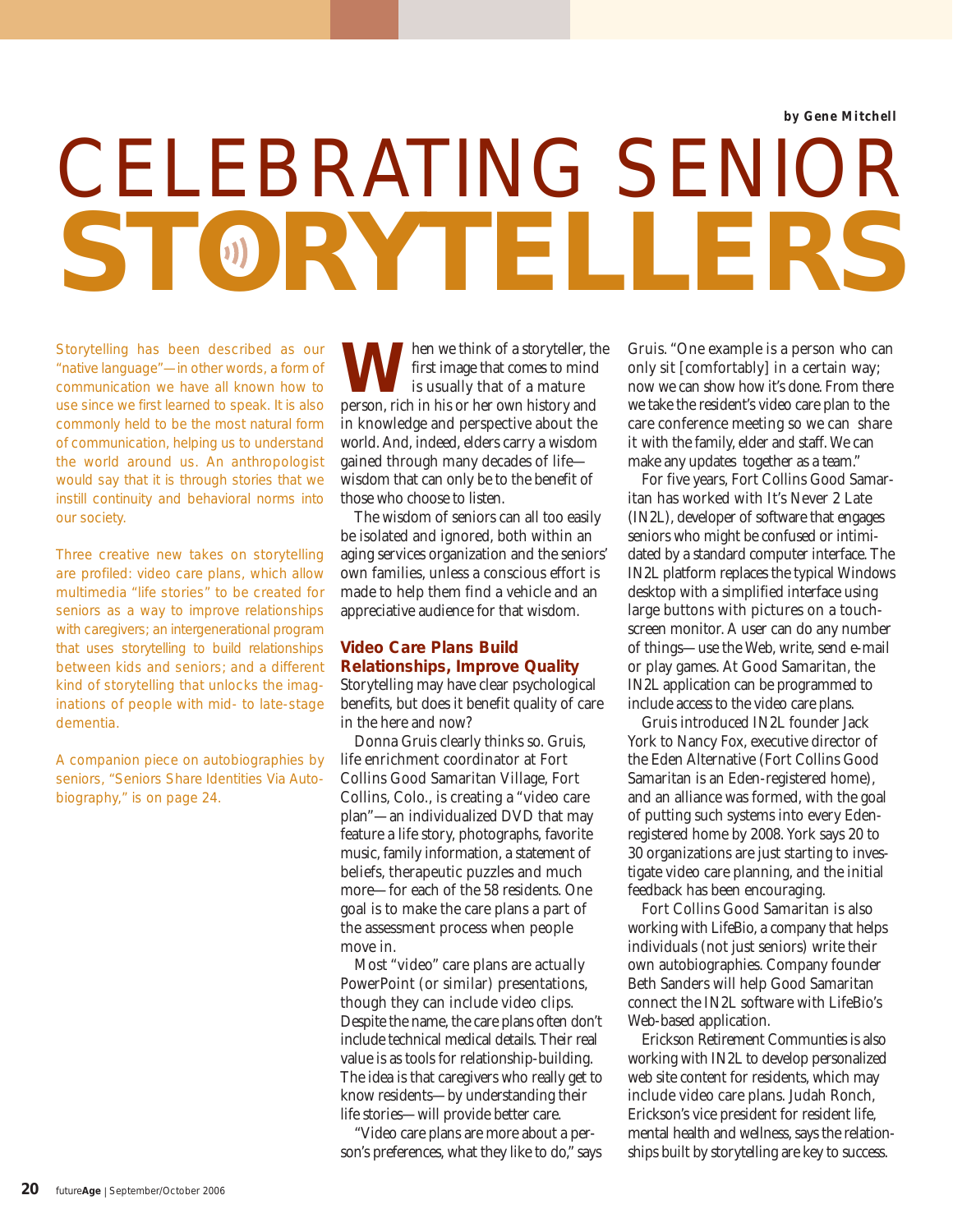# CELEBRATING SENIOR **STORYTELLERS**

Storytelling has been described as our "native language"—in other words, a form of communication we have all known how to use since we first learned to speak. It is also commonly held to be the most natural form of communication, helping us to understand the world around us. An anthropologist would say that it is through stories that we instill continuity and behavioral norms into our society.

Three creative new takes on storytelling are profiled: video care plans, which allow multimedia "life stories" to be created for seniors as a way to improve relationships with caregivers; an intergenerational program that uses storytelling to build relationships between kids and seniors; and a different kind of storytelling that unlocks the imaginations of people with mid- to late-stage dementia.

A companion piece on autobiographies by seniors, "Seniors Share Identities Via Autobiography," is on page 24.

**W** hen we think of a storyteller, the first image that comes to mind<br>is usually that of a mature first image that comes to mind is usually that of a mature person, rich in his or her own history and in knowledge and perspective about the world. And, indeed, elders carry a wisdom gained through many decades of life wisdom that can only be to the benefit of those who choose to listen.

The wisdom of seniors can all too easily be isolated and ignored, both within an aging services organization and the seniors' own families, unless a conscious effort is made to help them find a vehicle and an appreciative audience for that wisdom.

#### **Video Care Plans Build Relationships, Improve Quality**

Storytelling may have clear psychological benefits, but does it benefit quality of care in the here and now?

Donna Gruis clearly thinks so. Gruis, life enrichment coordinator at Fort Collins Good Samaritan Village, Fort Collins, Colo., is creating a "video care plan"—an individualized DVD that may feature a life story, photographs, favorite music, family information, a statement of beliefs, therapeutic puzzles and much more—for each of the 58 residents. One goal is to make the care plans a part of the assessment process when people move in.

Most "video" care plans are actually PowerPoint (or similar) presentations, though they can include video clips. Despite the name, the care plans often don't include technical medical details. Their real value is as tools for relationship-building. The idea is that caregivers who really get to know residents—by understanding their life stories—will provide better care.

"Video care plans are more about a person's preferences, what they like to do," says

Gruis. "One example is a person who can only sit [comfortably] in a certain way; now we can show how it's done. From there we take the resident's video care plan to the care conference meeting so we can share it with the family, elder and staff. We can make any updates together as a team."

For five years, Fort Collins Good Samaritan has worked with It's Never 2 Late (IN2L), developer of software that engages seniors who might be confused or intimidated by a standard computer interface. The IN2L platform replaces the typical Windows desktop with a simplified interface using large buttons with pictures on a touchscreen monitor. A user can do any number of things—use the Web, write, send e-mail or play games. At Good Samaritan, the IN2L application can be programmed to include access to the video care plans.

Gruis introduced IN2L founder Jack York to Nancy Fox, executive director of the Eden Alternative (Fort Collins Good Samaritan is an Eden-registered home), and an alliance was formed, with the goal of putting such systems into every Edenregistered home by 2008. York says 20 to 30 organizations are just starting to investigate video care planning, and the initial feedback has been encouraging.

Fort Collins Good Samaritan is also working with LifeBio, a company that helps individuals (not just seniors) write their own autobiographies. Company founder Beth Sanders will help Good Samaritan connect the IN2L software with LifeBio's Web-based application.

Erickson Retirement Communties is also working with IN2L to develop personalized web site content for residents, which may include video care plans. Judah Ronch, Erickson's vice president for resident life, mental health and wellness, says the relationships built by storytelling are key to success.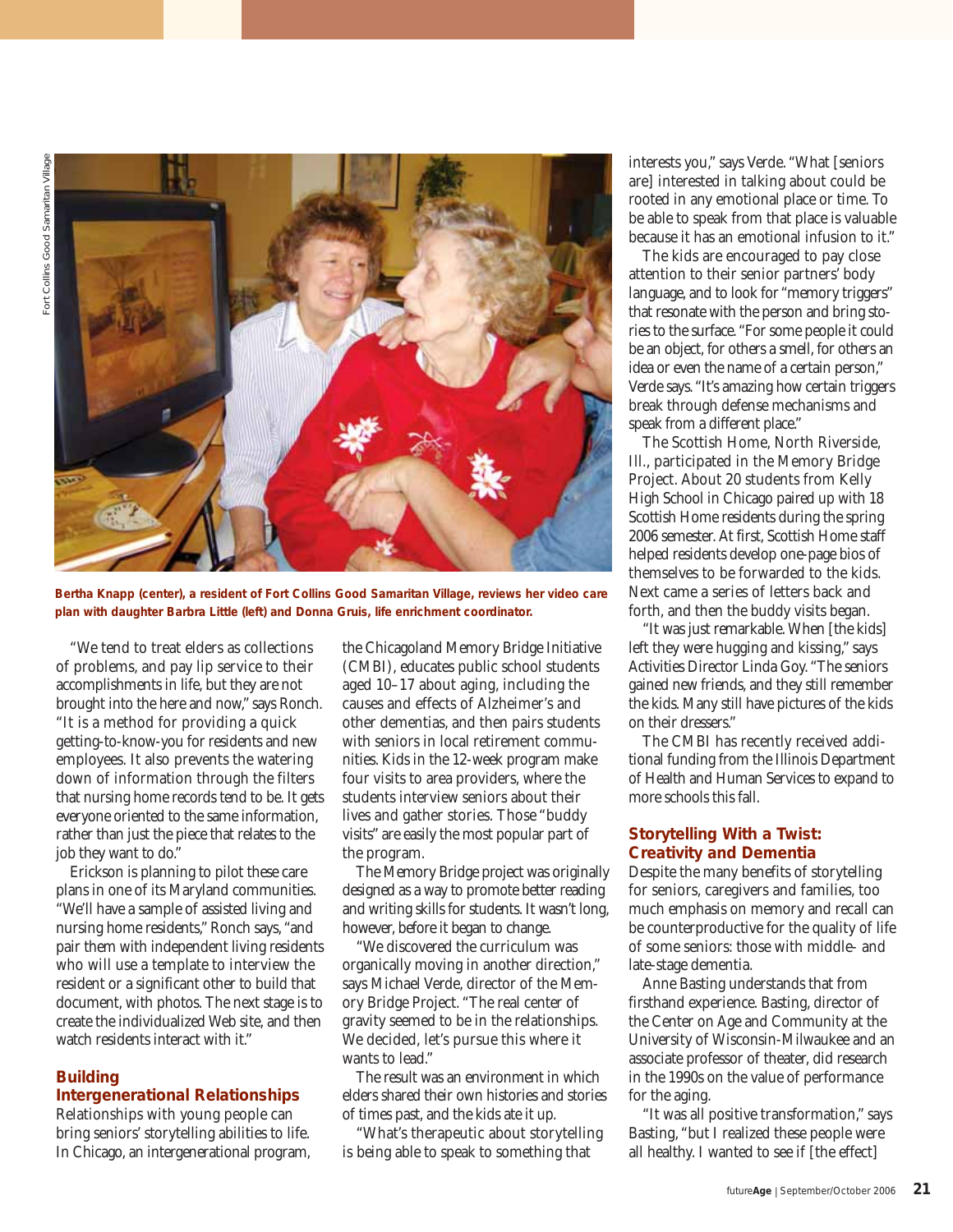

**Bertha Knapp (center), a resident of Fort Collins Good Samaritan Village, reviews her video care plan with daughter Barbra Little (left) and Donna Gruis, life enrichment coordinator.**

"We tend to treat elders as collections of problems, and pay lip service to their accomplishments in life, but they are not brought into the here and now," says Ronch. "It is a method for providing a quick getting-to-know-you for residents and new employees. It also prevents the watering down of information through the filters that nursing home records tend to be. It gets everyone oriented to the same information, rather than just the piece that relates to the job they want to do."

Erickson is planning to pilot these care plans in one of its Maryland communities. "We'll have a sample of assisted living and nursing home residents," Ronch says, "and pair them with independent living residents who will use a template to interview the resident or a significant other to build that document, with photos. The next stage is to create the individualized Web site, and then watch residents interact with it."

#### **Building**

#### **Intergenerational Relationships**

Relationships with young people can bring seniors' storytelling abilities to life. In Chicago, an intergenerational program,

the Chicagoland Memory Bridge Initiative (CMBI), educates public school students aged 10–17 about aging, including the causes and effects of Alzheimer's and other dementias, and then pairs students with seniors in local retirement communities. Kids in the 12-week program make four visits to area providers, where the students interview seniors about their lives and gather stories. Those "buddy visits" are easily the most popular part of the program.

The Memory Bridge project was originally designed as a way to promote better reading and writing skills for students. It wasn't long, however, before it began to change.

"We discovered the curriculum was organically moving in another direction," says Michael Verde, director of the Memory Bridge Project. "The real center of gravity seemed to be in the relationships. We decided, let's pursue this where it wants to lead."

The result was an environment in which elders shared their own histories and stories of times past, and the kids ate it up.

"What's therapeutic about storytelling is being able to speak to something that

interests you," says Verde. "What [seniors are] interested in talking about could be rooted in any emotional place or time. To be able to speak from that place is valuable because it has an emotional infusion to it."

The kids are encouraged to pay close attention to their senior partners' body language, and to look for "memory triggers" that resonate with the person and bring stories to the surface. "For some people it could be an object, for others a smell, for others an idea or even the name of a certain person," Verde says. "It's amazing how certain triggers break through defense mechanisms and speak from a different place."

The Scottish Home, North Riverside, Ill., participated in the Memory Bridge Project. About 20 students from Kelly High School in Chicago paired up with 18 Scottish Home residents during the spring 2006 semester. At first, Scottish Home staff helped residents develop one-page bios of themselves to be forwarded to the kids. Next came a series of letters back and forth, and then the buddy visits began.

"It was just remarkable. When [the kids] left they were hugging and kissing," says Activities Director Linda Goy. "The seniors gained new friends, and they still remember the kids. Many still have pictures of the kids on their dressers."

The CMBI has recently received additional funding from the Illinois Department of Health and Human Services to expand to more schools this fall.

#### **Storytelling With a Twist: Creativity and Dementia**

Despite the many benefits of storytelling for seniors, caregivers and families, too much emphasis on memory and recall can be counterproductive for the quality of life of some seniors: those with middle- and late-stage dementia.

Anne Basting understands that from firsthand experience. Basting, director of the Center on Age and Community at the University of Wisconsin-Milwaukee and an associate professor of theater, did research in the 1990s on the value of performance for the aging.

"It was all positive transformation," says Basting, "but I realized these people were all healthy. I wanted to see if [the effect]